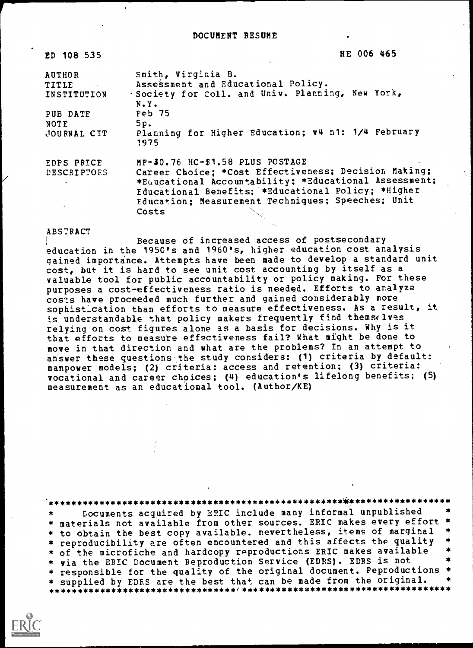| ED 108 535                                   | HE 006 465                                                                                                                                                                                                                                                            |
|----------------------------------------------|-----------------------------------------------------------------------------------------------------------------------------------------------------------------------------------------------------------------------------------------------------------------------|
| <b>AUTHOR</b><br><b>TITLE</b><br>INSTITUTION | Smith, Virginia B.<br>Assessment and Educational Policy.<br>'Society for Coll. and Univ. Planning, New York,<br>$N \cdot Y$ .                                                                                                                                         |
| PUB DATE<br>NOTE<br>JOURNAL CIT              | $Feb$ 75<br>5p.<br>Planning for Higher Education; v4 n1: 1/4 February<br>1975                                                                                                                                                                                         |
| EDPS PRICE<br><b>DESCRIPTORS</b>             | MF-\$0.76 HC-\$1.58 PLUS POSTAGE<br>Career Choice; *Cost Effectiveness; Decision Making;<br>*Equcational Accountability; *Educational Assessment;<br>Fducational Benefits; *Educational Policy; *Higher<br>Education; Measurement Techniques; Speeches; Unit<br>Costs |

# **ABSTRACT**

Because of increased access of postsecondary education in the 1950's and 1960's, higher education cost analysis gained importance. Attempts have been made to develop a standard unit cost, but it is hard to see unit cost accounting by itself as a valuable tool for public accountability or policy making. For these purposes a cost-effectiveness ratio is needed. Efforts to analyze costs have proceeded much further and gained considerably more sophistication than efforts to measure effectiveness. As a result, it is understandable that policy makers frequently find themselves relying on cost figures alone as a basis for decisions. Why is it that efforts to measure effectiveness fail? What might be done to move in that direction and what are the problems? In an attempt to answer these questions the study considers: (1) criteria by default: manpower models; (2) criteria: access and retention; (3) criteria: vocational and career choices; (4) education's lifelong benefits; (5) measurement as an educational tool. (Author/KE)

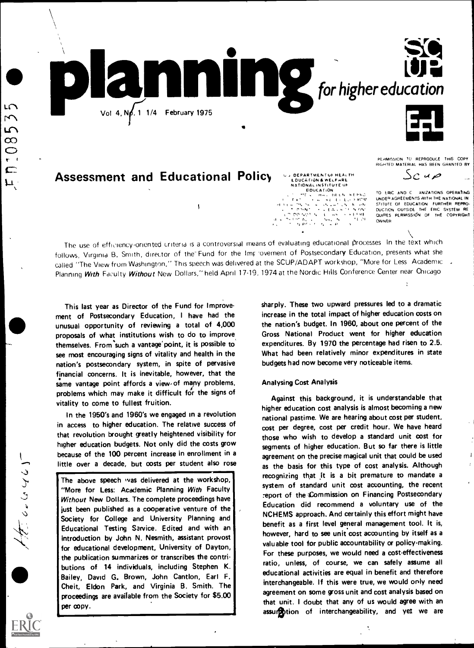



PERMISSION TO REPRODUCE THIS COPY RIGHTED MATERIAL HAS BEEN GRANTED BY

Assessment and Educational Policy

 $\overline{\phantom{a}}$ 

U.S. DEPARTMENT OF HEALTH NATIONAL INSTITUTE OF EDUCATION .<br>. H. Li L. FROM<br>. M. Li L. FROM<br>. EA LH TEN ON STAT A A NEW ORDER REPRO- IN A NEW STATION OUTSIDE THE ERIC SYSTEM REPRO- '<br>' P AN ONE DUCTION OUTSIDE THE ERIC SYSTEM REPRO- IN OUTSIDE THE COPYRIGHT

**HOW UNDER AGREEMENTS WITH THE NATIONAL IN**  $\Delta$ C up TO ERIC AND C ANIZATIONS OPERATING

OWNER

The use of efficiency-oriented criteria is a controversial means of evaluating educational Processes In the text which follows, Virginia B. Smith, director of the<sup>-</sup>Fund for the Improvement of Postsecondary Education, presents what she called "The View from Washington." This speech was delivered at the SCUP/ADAPT workshop, "More for Less Academic Planning With Faculty Without New Dollars," held April 17-19, 1974 at the Nordic Hills Conference Center near Chicago

This last year as Director of the Fund for Improvement of Postsecondary Education, <sup>I</sup> have had the unusual opportunity of reviewing a total of 4,000 proposals of what institutions wish to do to improve, themselves. From'such a vantage' point, it is possible to see most encouraging signs of vitality and health in the nation's postsecondary system, in spite of pervasive financial concerns. It is inevitable, however, that the same vantage point affords a view of many problems, problems which may make it difficult for the signs of vitality to come to fullest fruition.

In the 1950's and 1960's we engaged in a revolution in access to higher education. The relative success of that revolution brought greatly heightened visibility for higher education budgets. Not only did the costs grow because of the 100 percent increase in enrollment in a little over a decade, but costs per student also rose

The above speech was delivered at the workshop, "More for Less: Academic Planning With Faculty Without New Dollars. The complete proceedings have just been published as a cooperative venture of the Society for College and University Planning and Educational Testing Sarvice. Edited and with an introduction by John N. Nesmith, assistant provost for educational development, University of Dayton, the publication summarizes or transcribes the contributions of <sup>14</sup> individuals, including Stephen K. Bailey, David G. Brown, John Cantlon, Earl F. Cheit, Eldon Park, and Virginia B. Smith. The proceedings are available from the Society for \$5.00 per copy.

sharply. These two upward pressures led to a dramatic increase in the total impact of higher education costs on the nation's budget. In 1960, about one percent of the Gross National Product went for higher education expenditures. By 1970 the percentage had risen to 2.5. What had been relatively minor expenditures in state budgets had now become very noticeable items.

## Analysing Cost Analysis

Against this background, it is understandable that higher education cost analysis is almost becoming a new national pastime. We are hearing about cost per student, cost per degree, cost per credit hour. We have heard those who wish to develop a standard unit cost for segments of higher education. But so far there is little agreement on the precise magical unit that could be used as the basis for this type of cost analysis. Although recognizing that it is a bit premature to mandate a system of standard unit cost accounting, the recent report of the Commission on Financing Postsecondary Education did recommend a voluntary use of the NCHEMS approach. And certainly this effort might have benefit as a first level general management tool. It is, however, hard to see unit cost accounting by itself as a valuable tool for public accountability or policy-making. For these purposes, we would need a cost-effectiveness ratio, unless, of course, we can safely assume all educational activities are equal in benefit and therefore interchangeable. If this were true, we would only need agreement on some gross unit and cost analysis based on that unit. I doubt that any of us would agree with an assure bion of interchangeability, and yet we are

 $H_{1}^{+}$  6.6465



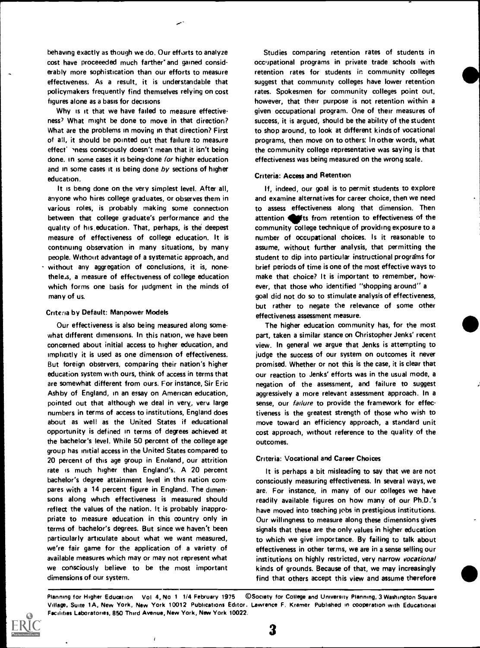behaving exactly as though we do. Our efforts to analyze cost have proceeeded much farther' and gained considerably more sophistication than our efforts to measure effectiveness. As a result, it is understandable that policymakers frequently find themselves relying on cost figures alone as a basis for decisions

Why is it that we have failed to measure effectiveness? What might be done to move in that direction? What are the problems in moving in that direction? First of all, it should be pointed out that failure to measure effect' ness consciously doesn't mean that it isn't being done. In some cases it is being done for higher education and in some cases it is being done by sections of higher education.

It is being done on the very simplest level. After all, anyone who hires college graduates, or observes them in various roles, is probably making some connection between that college graduate's performance and the quality of his,education. That, perhaps, is the deepest measure of effectiveness of college education. It is continuing observation in many situations, by many people. Without advantage of a systematic approach, and without any aggregation of conclusions, it is, nonethele,s, a measure of effectiveness of college education which forms one basis for judgment in the minds of many of us.

### Criteria by Default: Manpower Models

Our effectiveness is also being measured along somewhat different dimensions. In this nation, we have been concerned about initial access to higher education, and implicitly it is used as one dimension of effectiveness. But foreign observers, comparing their nation's higher education system with ours, think of access in terms that are somewhat different from ours. For instance, Sir Eric Ashby of England, in an essay on American education, pointed out that although we deal in very, very large numbers in terms of access to institutions, England does about as well as the United States if educational opportunity is defined in terms of degrees achieved at the bachelor's level. While 50 percent of the college age group has initial access in the United States compared to 20 percent of this age group in England, our attrition rate is much higher than England's. A 20 percent bachelor's degree attainment level in this nation compares with a 14 percent figure in England. The dimensions along which effectiveness is measured should reflect the values of the nation. It is probably inappro priate to measure education in this country only in terms of bachelor's degrees. But since we haven't been particularly articulate about what we want measured, we're fair game for the application of a variety of available measures which may or may not represent what we consciously believe to be the most important dimensions of our system.

 $\overline{1}$ 

Studies comparing retention rates of students in occupational programs in private trade schools with retention rates for students in community colleges suggest that community colleges have lower retention rates. Spokesmen for community colleges point out, however, that their purpose is not retention within a given occupational program. One of their measures of success, it is argued, should be the ability of the student to shop around, to look at different kinds of vocational programs, then move on to others: In other words, what the community college representative was saying is that effectiveness was being measured on the wrong scale.

### Criteria: Access and Retention

If, indeed, our goal is to permit students to explore and examine alternatives for career choice, then we need to assess effectiveness along that dimension. Then attention **effectiveness** of the community college technique of providing exposure to a number of occupational choices. Is it reasonable to assume, without further analysis, that permitting the student to dip into particular instructional programs for brief periods of time is one of the most effective ways to make that choice? It is important to remember, however, that those who identified "shopping around" a goal did not do so to stimulate analysis of effectiveness, but rather to negate the relevance of some other effectiveness assessment measure.

The higher education community has, for the most part, taken a similar stance on Christopher Jenks' recent view. In general we argue that Jenks is attempting to judge the success of our system on outcomes it never promised. Whether or not this is the case, it is clear that our reaction to Jenks' efforts was in the usual mode, a negation of the assessment, and failure to suggest aggressively a more relevant assessment approach. In a sense, our failure to provide the framework for effectiveness is the greatest strength of those who wish to move toward an efficiency approach, a standard unit cost approach, without reference to the quality of the outcomes.

### Criteria: Vocational and Career Choices

It is perhaps a bit misleading to say that we are not consciously measuring effectiveness. In several ways, we are. For instance, in many of our colleges we have readily available figures on how many of our Ph.D.'s have moved into teaching jobs in prestigious institutions. Our willingness to measure along these dimensions gives signals that these are the only values in higher education to which we give importance. By failing to talk about effectiveness in other terms, we are in a sense selling our institutions on highly restricted, very narrow vocational kinds of grounds. Because of that, we may increasingly find that others accept this view and assume therefore

Planning for Higher Education Vol 4, No 1 1/4 February 1975 ©Society for College and University Planning, 3 Washington Square Village, Suite 1A, New York, New York 10012 Publications Editor. Lawrence F, Kramer Published in cooperation with Educational Facilities Laboratories, 850 Third Avenue, New York, New York 10022.

3

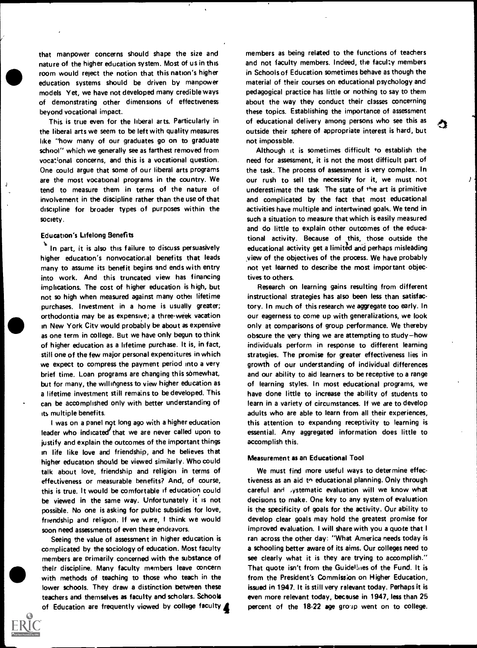that manpower concerns should shape the size and nature of the higher education system. Most of us in this room would reject the notion that this nation's higher education systems should be driven by manpower models Yet, we have not developed many credible ways of demonstrating other dimensions of effectiveness beyond vocational impact.

This is true even for the liberal arts. Particularly in the liberal arts we seem to be left with quality measures like "how many of our graduates go on to graduate school" which we generally see as farthest removed from vocational concerns, and this is a vocational question. One could argue that some of our liberal arts programs are the most vocational programs in the country. We tend to measure them in terms of the nature of involvement in the discipline rather than the use of that discipline for broader types of purposes within the society.

# Education's Lifelong Benefits

In part, it is also this failure to discuss persuasively higher education's nonvocational benefits that leads many to assume its benefit begins and ends with entry into work. And this truncated view has financing implications. The cost of higher education is high, but not so high when measured against many other lifetime purchases. Investment in a home is usually greater; orthodontia may be as expensive; a three-week vacation in New York City would probably be about as expensive as one term in college. But we have only begun to think of higher education as a lifetime purchase. It is, in fact, still one of the few major personal expenoitures in which we expect to compress the payment period into a very brief time. Loan programs are changing this somewhat, but for many, the willingness to view higher education as a lifetime investment still remains to be developed. This can be accomplished only with better understanding of its multiple benefits.

I was on a panel n9t long ago with a higher education leader who indicated that we are never called upon to justify and explain the outcomes of the important things in life like love and friendship, and he believes that higher education should be viewed similarly. Who could talk about love, friendship and religion in terms of effectiveness or measurable benefits? And, of course, this is true. It would be comfortable if education could be viewed in the same way. Unfortunately it is not possible. No one is asking for public subsidies for love, friendship and religion. If we were, I think we would soon need assessments of even these endeavors.

Seeing the value of assessment in higher education is complicated by the sociology of education. Most faculty members are primarily concerned with the substance of their discipline. Many faculty members leave concern with methods of teaching to those who teach in the lower schools. They draw a distinction between these teachers and themselves as faculty and scholars. Schools of Education are frequently viewed by college faculty  $\triangle$  members as being related to the functions of teachers and not faculty members. Indeed, the faculty members in Schools of Education sometimes behave as though the material of their courses on educational psychology and pedagogical practice has little or nothing to say to them about the way they conduct their classes concerning these topics. Establishing the importance of assessment of educational delivery among persons who see this as outside their sphere of appropriate interest is hard, but not impossible.

Although it is sometimes difficult to establish the need for assessment, it is not the most difficult part of the task. The process of assessment is very complex. In our rush to sell the necessity for it, we must not underestimate the task The state of the art is primitive and complicated by the fact that most educational activities have multiple and intertwined goals. We tend in such a situation to measure that which is easily measured and do little to explain other outcomes of the educational activity. Because of this, those outside the educational activity get a limited and perhaps misleading view of the objectives of the process. We have probably not yet learned to describe the most important objectives to others.

Research on learning gains resulting from different instructional strategies has also been less than satisfactory. In much of this research we aggregate too early. In our eagerness to come up with generalizations, we look only at comparisons of group performance. We thereby obscure the very thing we are attempting to study-how individuals perform in response to different leaming strategies. The promise for greater effectiveness lies in growth of our understanding of individual differences and our ability to aid learners to be receptive to a range of learning styles. In most educational programs, we have done little to increase the ability of students to learn in a variety of circumstances. If we are to develop adults who are able to learn from all their experiences, this attention to expanding receptivity to learning is essential. Any aggregated information does little to accomplish this.

## Measurement as an Educational Tool

We must find more useful ways to determine effectiveness as an aid to educational planning. Only through careful and systematic evaluation will we know what decisions to make. One key to any system of evaluation is the specificity of goals for the activity. Our ability to develop clear goals may hold the greatest promise for improved evaluation. I will share with you a quote that I ran across the other day: "What America needs today is a schooling better aware of its aims. Our colleges need to see clearly what it is they are trying to accomplish." That quote isn't from the Guidelines of the Fund. It is from the President's Commission on Higher Education, issued in 1947. It is still very relevant today. Perhaps it is even more relevant today, because in 1947, less than 25 percent of the 18-22 age group went on to college.